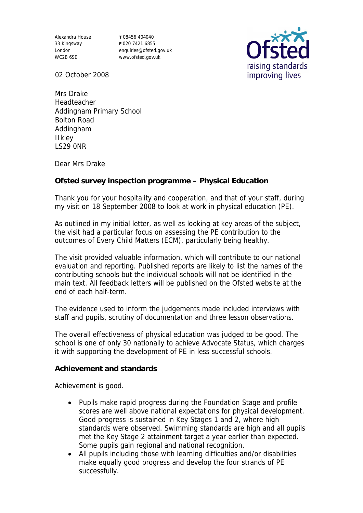Alexandra House 33 Kingsway London WC2B 6SE

**T** 08456 404040 **F** 020 7421 6855 enquiries@ofsted.gov.uk www.ofsted.gov.uk



02 October 2008

Mrs Drake Headteacher Addingham Primary School Bolton Road Addingham IIkley LS29 0NR

Dear Mrs Drake

**Ofsted survey inspection programme – Physical Education**

Thank you for your hospitality and cooperation, and that of your staff, during my visit on 18 September 2008 to look at work in physical education (PE).

As outlined in my initial letter, as well as looking at key areas of the subject, the visit had a particular focus on assessing the PE contribution to the outcomes of Every Child Matters (ECM), particularly being healthy.

The visit provided valuable information, which will contribute to our national evaluation and reporting. Published reports are likely to list the names of the contributing schools but the individual schools will not be identified in the main text. All feedback letters will be published on the Ofsted website at the end of each half-term.

The evidence used to inform the judgements made included interviews with staff and pupils, scrutiny of documentation and three lesson observations.

The overall effectiveness of physical education was judged to be good. The school is one of only 30 nationally to achieve Advocate Status, which charges it with supporting the development of PE in less successful schools.

**Achievement and standards** 

Achievement is good.

- Pupils make rapid progress during the Foundation Stage and profile scores are well above national expectations for physical development. Good progress is sustained in Key Stages 1 and 2, where high standards were observed. Swimming standards are high and all pupils met the Key Stage 2 attainment target a year earlier than expected. Some pupils gain regional and national recognition.
- All pupils including those with learning difficulties and/or disabilities make equally good progress and develop the four strands of PE successfully.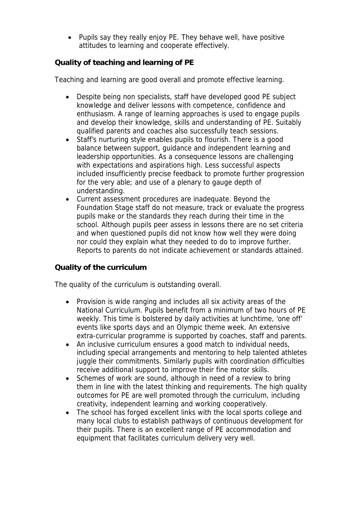• Pupils say they really enjoy PE. They behave well, have positive attitudes to learning and cooperate effectively.

**Quality of teaching and learning of PE**

Teaching and learning are good overall and promote effective learning.

- Despite being non specialists, staff have developed good PE subject knowledge and deliver lessons with competence, confidence and enthusiasm. A range of learning approaches is used to engage pupils and develop their knowledge, skills and understanding of PE. Suitably qualified parents and coaches also successfully teach sessions.
- Staff's nurturing style enables pupils to flourish. There is a good balance between support, guidance and independent learning and leadership opportunities. As a consequence lessons are challenging with expectations and aspirations high. Less successful aspects included insufficiently precise feedback to promote further progression for the very able; and use of a plenary to gauge depth of understanding.
- Current assessment procedures are inadequate. Beyond the Foundation Stage staff do not measure, track or evaluate the progress pupils make or the standards they reach during their time in the school. Although pupils peer assess in lessons there are no set criteria and when questioned pupils did not know how well they were doing nor could they explain what they needed to do to improve further. Reports to parents do not indicate achievement or standards attained.

**Quality of the curriculum** 

The quality of the curriculum is outstanding overall.

- Provision is wide ranging and includes all six activity areas of the National Curriculum. Pupils benefit from a minimum of two hours of PE weekly. This time is bolstered by daily activities at lunchtime, 'one off' events like sports days and an Olympic theme week. An extensive extra-curricular programme is supported by coaches, staff and parents.
- An inclusive curriculum ensures a good match to individual needs, including special arrangements and mentoring to help talented athletes juggle their commitments. Similarly pupils with coordination difficulties receive additional support to improve their fine motor skills.
- Schemes of work are sound, although in need of a review to bring them in line with the latest thinking and requirements. The high quality outcomes for PE are well promoted through the curriculum, including creativity, independent learning and working cooperatively.
- The school has forged excellent links with the local sports college and many local clubs to establish pathways of continuous development for their pupils. There is an excellent range of PE accommodation and equipment that facilitates curriculum delivery very well.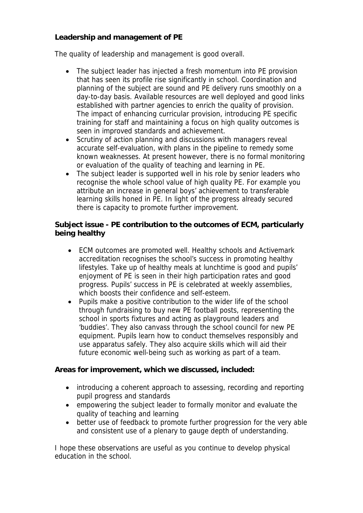**Leadership and management of PE**

The quality of leadership and management is good overall.

- The subject leader has injected a fresh momentum into PE provision that has seen its profile rise significantly in school. Coordination and planning of the subject are sound and PE delivery runs smoothly on a day-to-day basis. Available resources are well deployed and good links established with partner agencies to enrich the quality of provision. The impact of enhancing curricular provision, introducing PE specific training for staff and maintaining a focus on high quality outcomes is seen in improved standards and achievement.
- Scrutiny of action planning and discussions with managers reveal accurate self-evaluation, with plans in the pipeline to remedy some known weaknesses. At present however, there is no formal monitoring or evaluation of the quality of teaching and learning in PE.
- The subject leader is supported well in his role by senior leaders who recognise the whole school value of high quality PE. For example you attribute an increase in general boys' achievement to transferable learning skills honed in PE. In light of the progress already secured there is capacity to promote further improvement.

**Subject issue - PE contribution to the outcomes of ECM, particularly being healthy**

- ECM outcomes are promoted well. Healthy schools and Activemark accreditation recognises the school's success in promoting healthy lifestyles. Take up of healthy meals at lunchtime is good and pupils' enjoyment of PE is seen in their high participation rates and good progress. Pupils' success in PE is celebrated at weekly assemblies, which boosts their confidence and self-esteem.
- Pupils make a positive contribution to the wider life of the school through fundraising to buy new PE football posts, representing the school in sports fixtures and acting as playground leaders and 'buddies'. They also canvass through the school council for new PE equipment. Pupils learn how to conduct themselves responsibly and use apparatus safely. They also acquire skills which will aid their future economic well-being such as working as part of a team.

**Areas for improvement, which we discussed, included:**

- introducing a coherent approach to assessing, recording and reporting pupil progress and standards
- empowering the subject leader to formally monitor and evaluate the quality of teaching and learning
- better use of feedback to promote further progression for the very able and consistent use of a plenary to gauge depth of understanding.

I hope these observations are useful as you continue to develop physical education in the school.